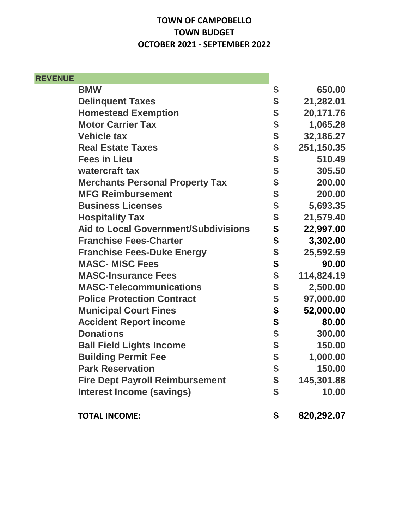## **TOWN OF CAMPOBELLO TOWN BUDGET OCTOBER 2021 - SEPTEMBER 2022**

| <b>REVENUE</b> |                                             |        |            |
|----------------|---------------------------------------------|--------|------------|
|                | <b>BMW</b>                                  | \$     | 650.00     |
|                | <b>Delinquent Taxes</b>                     | \$     | 21,282.01  |
|                | <b>Homestead Exemption</b>                  | \$     | 20,171.76  |
|                | <b>Motor Carrier Tax</b>                    | \$     | 1,065.28   |
|                | <b>Vehicle tax</b>                          | \$     | 32,186.27  |
|                | <b>Real Estate Taxes</b>                    | \$     | 251,150.35 |
|                | <b>Fees in Lieu</b>                         | \$     | 510.49     |
|                | watercraft tax                              | \$     | 305.50     |
|                | <b>Merchants Personal Property Tax</b>      | \$     | 200.00     |
|                | <b>MFG Reimbursement</b>                    | \$     | 200.00     |
|                | <b>Business Licenses</b>                    | \$     | 5,693.35   |
|                | <b>Hospitality Tax</b>                      | \$     | 21,579.40  |
|                | <b>Aid to Local Government/Subdivisions</b> | \$     | 22,997.00  |
|                | <b>Franchise Fees-Charter</b>               |        | 3,302.00   |
|                | <b>Franchise Fees-Duke Energy</b>           | \$     | 25,592.59  |
|                | <b>MASC-MISC Fees</b>                       | \$     | 90.00      |
|                | <b>MASC-Insurance Fees</b>                  | \$     | 114,824.19 |
|                | <b>MASC-Telecommunications</b>              | \$     | 2,500.00   |
|                | <b>Police Protection Contract</b>           |        | 97,000.00  |
|                | <b>Municipal Court Fines</b>                | \$\$\$ | 52,000.00  |
|                | <b>Accident Report income</b>               |        | 80.00      |
|                | <b>Donations</b>                            |        | 300.00     |
|                | <b>Ball Field Lights Income</b>             | \$\$   | 150.00     |
|                | <b>Building Permit Fee</b>                  |        | 1,000.00   |
|                | <b>Park Reservation</b>                     | \$     | 150.00     |
|                | <b>Fire Dept Payroll Reimbursement</b>      | \$     | 145,301.88 |
|                | <b>Interest Income (savings)</b>            | \$     | 10.00      |
|                | <b>TOTAL INCOME:</b>                        | \$     | 820,292.07 |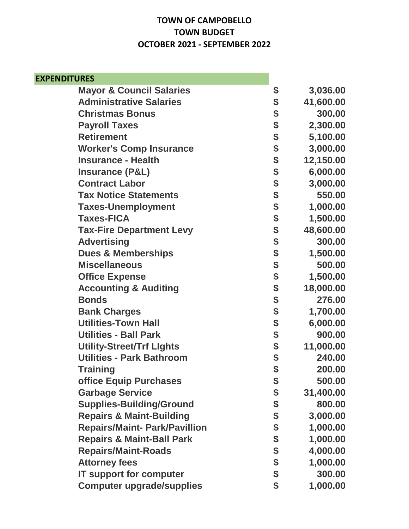## **TOWN OF CAMPOBELLO TOWN BUDGET OCTOBER 2021 - SEPTEMBER 2022**

| <b>EXPENDITURES</b>                  |                 |
|--------------------------------------|-----------------|
| <b>Mayor &amp; Council Salaries</b>  | \$<br>3,036.00  |
| <b>Administrative Salaries</b>       | \$<br>41,600.00 |
| <b>Christmas Bonus</b>               | \$<br>300.00    |
| <b>Payroll Taxes</b>                 | \$<br>2,300.00  |
| <b>Retirement</b>                    | \$<br>5,100.00  |
| <b>Worker's Comp Insurance</b>       | \$<br>3,000.00  |
| <b>Insurance - Health</b>            | \$<br>12,150.00 |
| <b>Insurance (P&amp;L)</b>           | \$<br>6,000.00  |
| <b>Contract Labor</b>                | \$<br>3,000.00  |
| <b>Tax Notice Statements</b>         | \$<br>550.00    |
| <b>Taxes-Unemployment</b>            | \$<br>1,000.00  |
| <b>Taxes-FICA</b>                    | \$<br>1,500.00  |
| <b>Tax-Fire Department Levy</b>      | \$<br>48,600.00 |
| <b>Advertising</b>                   | \$<br>300.00    |
| <b>Dues &amp; Memberships</b>        | \$<br>1,500.00  |
| <b>Miscellaneous</b>                 | \$<br>500.00    |
| <b>Office Expense</b>                | \$<br>1,500.00  |
| <b>Accounting &amp; Auditing</b>     | \$<br>18,000.00 |
| <b>Bonds</b>                         | \$<br>276.00    |
| <b>Bank Charges</b>                  | \$<br>1,700.00  |
| <b>Utilities-Town Hall</b>           | \$<br>6,000.00  |
| <b>Utilities - Ball Park</b>         | \$<br>900.00    |
| <b>Utility-Street/Trf Lights</b>     | \$<br>11,000.00 |
| <b>Utilities - Park Bathroom</b>     | \$<br>240.00    |
| Training                             | \$<br>200.00    |
| office Equip Purchases               | \$<br>500.00    |
| <b>Garbage Service</b>               | \$<br>31,400.00 |
| <b>Supplies-Building/Ground</b>      | \$<br>800.00    |
| <b>Repairs &amp; Maint-Building</b>  | \$<br>3,000.00  |
| <b>Repairs/Maint- Park/Pavillion</b> | \$<br>1,000.00  |
| <b>Repairs &amp; Maint-Ball Park</b> | \$<br>1,000.00  |
| <b>Repairs/Maint-Roads</b>           | \$<br>4,000.00  |
| <b>Attorney fees</b>                 | \$<br>1,000.00  |
| <b>IT support for computer</b>       | \$<br>300.00    |
| <b>Computer upgrade/supplies</b>     | \$<br>1,000.00  |